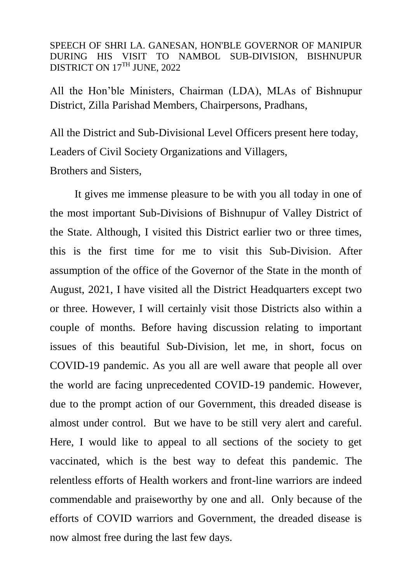SPEECH OF SHRI LA. GANESAN, HON'BLE GOVERNOR OF MANIPUR DURING HIS VISIT TO NAMBOL SUB-DIVISION, BISHNUPUR DISTRICT ON 17TH JUNE, 2022

All the Hon'ble Ministers, Chairman (LDA), MLAs of Bishnupur District, Zilla Parishad Members, Chairpersons, Pradhans,

All the District and Sub-Divisional Level Officers present here today, Leaders of Civil Society Organizations and Villagers,

Brothers and Sisters,

 It gives me immense pleasure to be with you all today in one of the most important Sub-Divisions of Bishnupur of Valley District of the State. Although, I visited this District earlier two or three times, this is the first time for me to visit this Sub-Division. After assumption of the office of the Governor of the State in the month of August, 2021, I have visited all the District Headquarters except two or three. However, I will certainly visit those Districts also within a couple of months. Before having discussion relating to important issues of this beautiful Sub-Division, let me, in short, focus on COVID-19 pandemic. As you all are well aware that people all over the world are facing unprecedented COVID-19 pandemic. However, due to the prompt action of our Government, this dreaded disease is almost under control. But we have to be still very alert and careful. Here, I would like to appeal to all sections of the society to get vaccinated, which is the best way to defeat this pandemic. The relentless efforts of Health workers and front-line warriors are indeed commendable and praiseworthy by one and all. Only because of the efforts of COVID warriors and Government, the dreaded disease is now almost free during the last few days.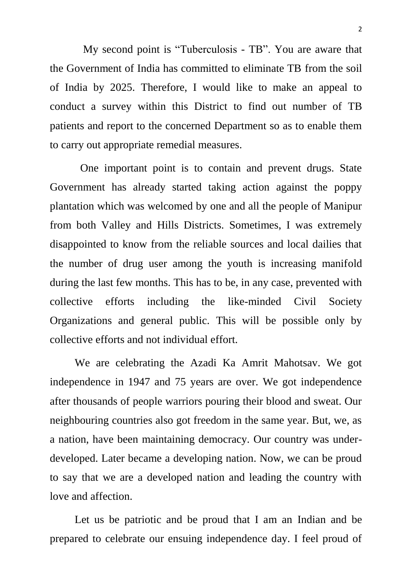My second point is "Tuberculosis - TB". You are aware that the Government of India has committed to eliminate TB from the soil of India by 2025. Therefore, I would like to make an appeal to conduct a survey within this District to find out number of TB patients and report to the concerned Department so as to enable them to carry out appropriate remedial measures.

 One important point is to contain and prevent drugs. State Government has already started taking action against the poppy plantation which was welcomed by one and all the people of Manipur from both Valley and Hills Districts. Sometimes, I was extremely disappointed to know from the reliable sources and local dailies that the number of drug user among the youth is increasing manifold during the last few months. This has to be, in any case, prevented with collective efforts including the like-minded Civil Society Organizations and general public. This will be possible only by collective efforts and not individual effort.

We are celebrating the Azadi Ka Amrit Mahotsav. We got independence in 1947 and 75 years are over. We got independence after thousands of people warriors pouring their blood and sweat. Our neighbouring countries also got freedom in the same year. But, we, as a nation, have been maintaining democracy. Our country was underdeveloped. Later became a developing nation. Now, we can be proud to say that we are a developed nation and leading the country with love and affection.

Let us be patriotic and be proud that I am an Indian and be prepared to celebrate our ensuing independence day. I feel proud of